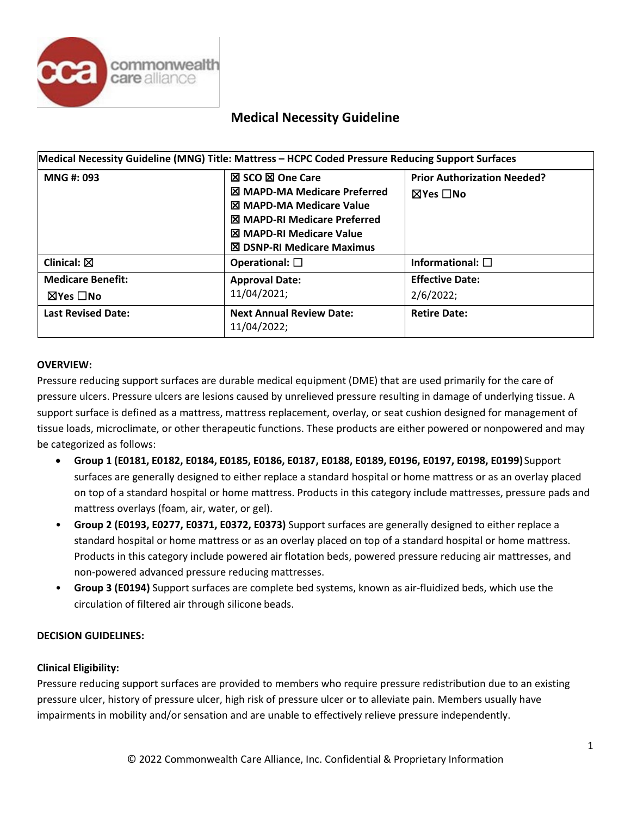

|                                                       | Medical Necessity Guideline (MNG) Title: Mattress - HCPC Coded Pressure Reducing Support Surfaces                                                                                                         |                                                                 |  |
|-------------------------------------------------------|-----------------------------------------------------------------------------------------------------------------------------------------------------------------------------------------------------------|-----------------------------------------------------------------|--|
| MNG #: 093                                            | ⊠ SCO ⊠ One Care<br><b>X MAPD-MA Medicare Preferred</b><br><b>X MAPD-MA Medicare Value</b><br><b>図 MAPD-RI Medicare Preferred</b><br><b>図 MAPD-RI Medicare Value</b><br><b>図 DSNP-RI Medicare Maximus</b> | <b>Prior Authorization Needed?</b><br>$\boxtimes$ Yes $\Box$ No |  |
| Clinical: $\boxtimes$                                 | Operational: $\square$                                                                                                                                                                                    | Informational: $\square$                                        |  |
| <b>Medicare Benefit:</b><br>$\boxtimes$ Yes $\Box$ No | <b>Approval Date:</b><br>11/04/2021;                                                                                                                                                                      | <b>Effective Date:</b><br>2/6/2022;                             |  |
| <b>Last Revised Date:</b>                             | <b>Next Annual Review Date:</b><br>11/04/2022;                                                                                                                                                            | <b>Retire Date:</b>                                             |  |

### **OVERVIEW:**

Pressure reducing support surfaces are durable medical equipment (DME) that are used primarily for the care of pressure ulcers. Pressure ulcers are lesions caused by unrelieved pressure resulting in damage of underlying tissue. A support surface is defined as a mattress, mattress replacement, overlay, or seat cushion designed for management of tissue loads, microclimate, or other therapeutic functions. These products are either powered or nonpowered and may be categorized as follows:

- **Group 1 (E0181, E0182, E0184, E0185, E0186, E0187, E0188, E0189, E0196, E0197, E0198, E0199)** Support surfaces are generally designed to either replace a standard hospital or home mattress or as an overlay placed on top of a standard hospital or home mattress. Products in this category include mattresses, pressure pads and mattress overlays (foam, air, water, or gel).
- **Group 2 (E0193, E0277, E0371, E0372, E0373)** Support surfaces are generally designed to either replace a standard hospital or home mattress or as an overlay placed on top of a standard hospital or home mattress. Products in this category include powered air flotation beds, powered pressure reducing air mattresses, and non-powered advanced pressure reducing mattresses.
- **Group 3 (E0194)** Support surfaces are complete bed systems, known as air-fluidized beds, which use the circulation of filtered air through silicone beads.

#### **DECISION GUIDELINES:**

#### **Clinical Eligibility:**

Pressure reducing support surfaces are provided to members who require pressure redistribution due to an existing pressure ulcer, history of pressure ulcer, high risk of pressure ulcer or to alleviate pain. Members usually have impairments in mobility and/or sensation and are unable to effectively relieve pressure independently.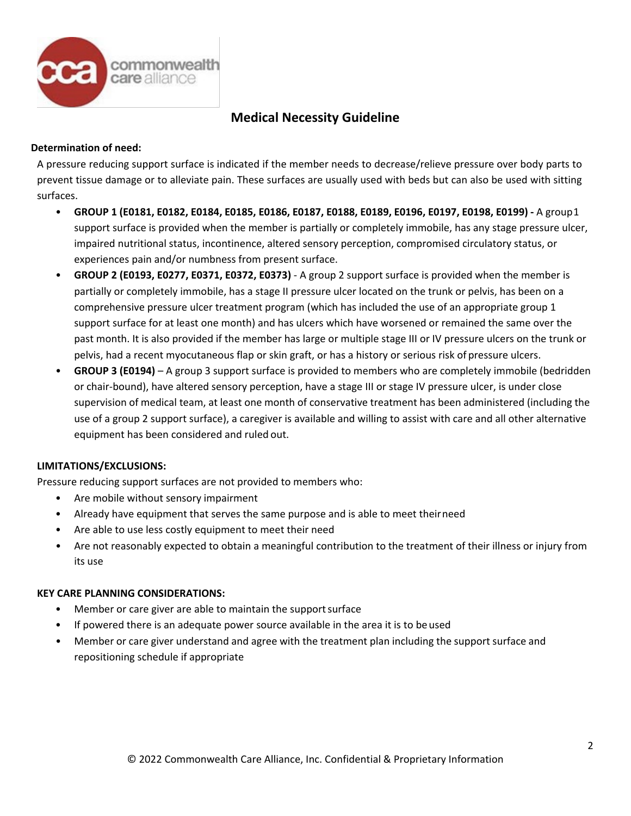

#### **Determination of need:**

A pressure reducing support surface is indicated if the member needs to decrease/relieve pressure over body parts to prevent tissue damage or to alleviate pain. These surfaces are usually used with beds but can also be used with sitting surfaces.

- **GROUP 1 (E0181, E0182, E0184, E0185, E0186, E0187, E0188, E0189, E0196, E0197, E0198, E0199) -** A group1 support surface is provided when the member is partially or completely immobile, has any stage pressure ulcer, impaired nutritional status, incontinence, altered sensory perception, compromised circulatory status, or experiences pain and/or numbness from present surface.
- **GROUP 2 (E0193, E0277, E0371, E0372, E0373)**  A group 2 support surface is provided when the member is partially or completely immobile, has a stage II pressure ulcer located on the trunk or pelvis, has been on a comprehensive pressure ulcer treatment program (which has included the use of an appropriate group 1 support surface for at least one month) and has ulcers which have worsened or remained the same over the past month. It is also provided if the member has large or multiple stage III or IV pressure ulcers on the trunk or pelvis, had a recent myocutaneous flap or skin graft, or has a history or serious risk of pressure ulcers.
- **GROUP 3 (E0194)**  A group 3 support surface is provided to members who are completely immobile (bedridden or chair-bound), have altered sensory perception, have a stage III or stage IV pressure ulcer, is under close supervision of medical team, at least one month of conservative treatment has been administered (including the use of a group 2 support surface), a caregiver is available and willing to assist with care and all other alternative equipment has been considered and ruled out.

### **LIMITATIONS/EXCLUSIONS:**

Pressure reducing support surfaces are not provided to members who:

- Are mobile without sensory impairment
- Already have equipment that serves the same purpose and is able to meet theirneed
- Are able to use less costly equipment to meet their need
- Are not reasonably expected to obtain a meaningful contribution to the treatment of their illness or injury from its use

#### **KEY CARE PLANNING CONSIDERATIONS:**

- Member or care giver are able to maintain the support surface
- If powered there is an adequate power source available in the area it is to beused
- Member or care giver understand and agree with the treatment plan including the support surface and repositioning schedule if appropriate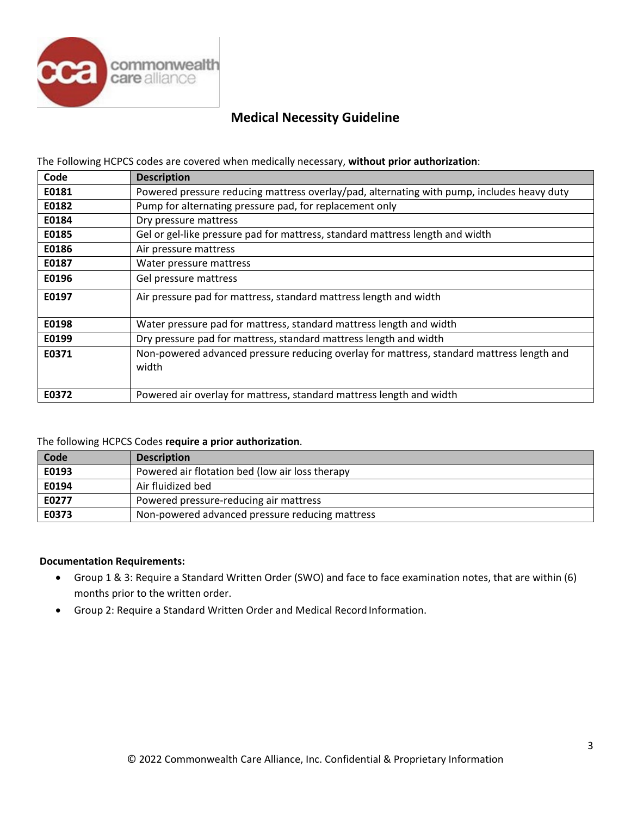

The Following HCPCS codes are covered when medically necessary, **without prior authorization**:

| Code  | <b>Description</b>                                                                                 |  |
|-------|----------------------------------------------------------------------------------------------------|--|
| E0181 | Powered pressure reducing mattress overlay/pad, alternating with pump, includes heavy duty         |  |
| E0182 | Pump for alternating pressure pad, for replacement only                                            |  |
| E0184 | Dry pressure mattress                                                                              |  |
| E0185 | Gel or gel-like pressure pad for mattress, standard mattress length and width                      |  |
| E0186 | Air pressure mattress                                                                              |  |
| E0187 | Water pressure mattress                                                                            |  |
| E0196 | Gel pressure mattress                                                                              |  |
| E0197 | Air pressure pad for mattress, standard mattress length and width                                  |  |
| E0198 | Water pressure pad for mattress, standard mattress length and width                                |  |
| E0199 | Dry pressure pad for mattress, standard mattress length and width                                  |  |
| E0371 | Non-powered advanced pressure reducing overlay for mattress, standard mattress length and<br>width |  |
| E0372 | Powered air overlay for mattress, standard mattress length and width                               |  |

#### The following HCPCS Codes **require a prior authorization**.

| Code  | <b>Description</b>                              |  |
|-------|-------------------------------------------------|--|
| E0193 | Powered air flotation bed (low air loss therapy |  |
| E0194 | Air fluidized bed                               |  |
| E0277 | Powered pressure-reducing air mattress          |  |
| E0373 | Non-powered advanced pressure reducing mattress |  |

#### **Documentation Requirements:**

- Group 1 & 3: Require a Standard Written Order (SWO) and face to face examination notes, that are within (6) months prior to the written order.
- Group 2: Require a Standard Written Order and Medical Record Information.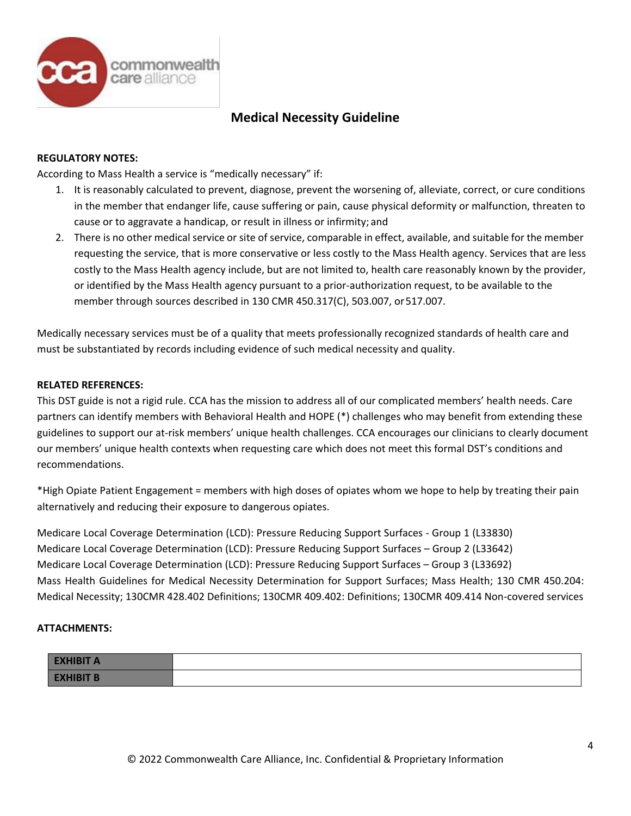

#### **REGULATORY NOTES:**

According to Mass Health a service is "medically necessary" if:

- 1. It is reasonably calculated to prevent, diagnose, prevent the worsening of, alleviate, correct, or cure conditions in the member that endanger life, cause suffering or pain, cause physical deformity or malfunction, threaten to cause or to aggravate a handicap, or result in illness or infirmity; and
- 2. There is no other medical service or site of service, comparable in effect, available, and suitable for the member requesting the service, that is more conservative or less costly to the Mass Health agency. Services that are less costly to the Mass Health agency include, but are not limited to, health care reasonably known by the provider, or identified by the Mass Health agency pursuant to a prior-authorization request, to be available to the member through sources described in 130 CMR 450.317(C), 503.007, or517.007.

Medically necessary services must be of a quality that meets professionally recognized standards of health care and must be substantiated by records including evidence of such medical necessity and quality.

#### **RELATED REFERENCES:**

This DST guide is not a rigid rule. CCA has the mission to address all of our complicated members' health needs. Care partners can identify members with Behavioral Health and HOPE (\*) challenges who may benefit from extending these guidelines to support our at-risk members' unique health challenges. CCA encourages our clinicians to clearly document our members' unique health contexts when requesting care which does not meet this formal DST's conditions and recommendations.

\*High Opiate Patient Engagement = members with high doses of opiates whom we hope to help by treating their pain alternatively and reducing their exposure to dangerous opiates.

Medicare Local Coverage Determination (LCD): Pressure Reducing Support Surfaces - Group 1 (L33830) Medicare Local Coverage Determination (LCD): Pressure Reducing Support Surfaces – Group 2 (L33642) Medicare Local Coverage Determination (LCD): Pressure Reducing Support Surfaces – Group 3 (L33692) Mass Health Guidelines for Medical Necessity Determination for Support Surfaces; Mass Health; 130 CMR 450.204: Medical Necessity; 130CMR 428.402 Definitions; 130CMR 409.402: Definitions; 130CMR 409.414 Non-covered services

#### **ATTACHMENTS:**

| <b>EXHIBIT A</b> |  |
|------------------|--|
| <b>EXHIBIT B</b> |  |